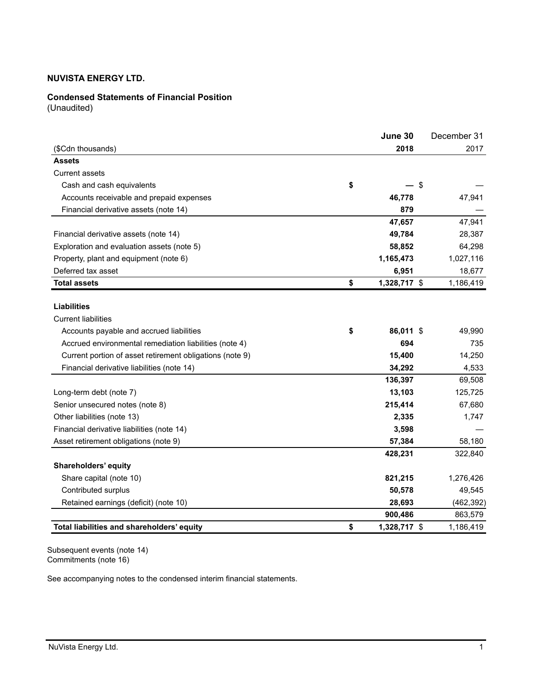## **Condensed Statements of Financial Position**

(Unaudited)

|                                                          | June 30            | December 31 |
|----------------------------------------------------------|--------------------|-------------|
| (\$Cdn thousands)                                        | 2018               | 2017        |
| <b>Assets</b>                                            |                    |             |
| <b>Current assets</b>                                    |                    |             |
| Cash and cash equivalents                                | \$<br>\$           |             |
| Accounts receivable and prepaid expenses                 | 46,778             | 47,941      |
| Financial derivative assets (note 14)                    | 879                |             |
|                                                          | 47,657             | 47,941      |
| Financial derivative assets (note 14)                    | 49,784             | 28,387      |
| Exploration and evaluation assets (note 5)               | 58,852             | 64,298      |
| Property, plant and equipment (note 6)                   | 1,165,473          | 1,027,116   |
| Deferred tax asset                                       | 6,951              | 18,677      |
| <b>Total assets</b>                                      | \$<br>1,328,717 \$ | 1,186,419   |
| <b>Liabilities</b>                                       |                    |             |
| <b>Current liabilities</b>                               |                    |             |
| Accounts payable and accrued liabilities                 | \$<br>86,011 \$    | 49,990      |
| Accrued environmental remediation liabilities (note 4)   | 694                | 735         |
| Current portion of asset retirement obligations (note 9) | 15,400             | 14,250      |
| Financial derivative liabilities (note 14)               | 34,292             | 4,533       |
|                                                          | 136,397            | 69,508      |
| Long-term debt (note 7)                                  | 13,103             | 125,725     |
| Senior unsecured notes (note 8)                          | 215,414            | 67,680      |
| Other liabilities (note 13)                              | 2,335              | 1,747       |
| Financial derivative liabilities (note 14)               | 3,598              |             |
| Asset retirement obligations (note 9)                    | 57,384             | 58,180      |
|                                                          | 428,231            | 322,840     |
| Shareholders' equity                                     |                    |             |
| Share capital (note 10)                                  | 821,215            | 1,276,426   |
| Contributed surplus                                      | 50,578             | 49,545      |
| Retained earnings (deficit) (note 10)                    | 28,693             | (462, 392)  |
|                                                          | 900,486            | 863,579     |
| Total liabilities and shareholders' equity               | \$<br>1,328,717 \$ | 1,186,419   |

Subsequent events (note 14) Commitments (note 16)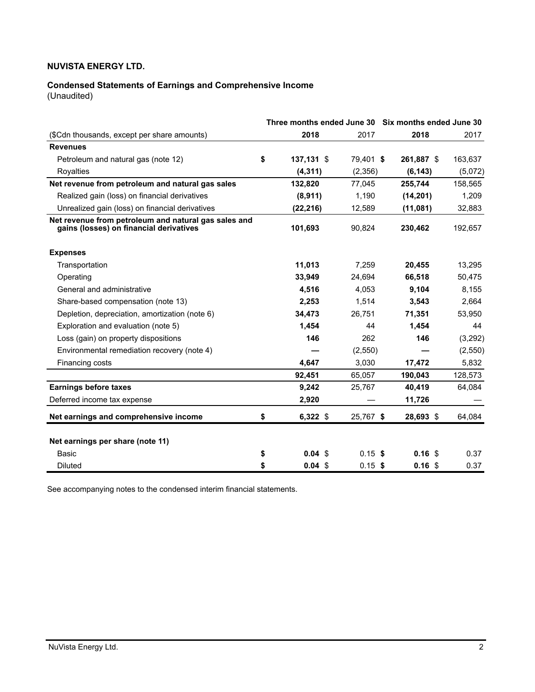# **Condensed Statements of Earnings and Comprehensive Income**

(Unaudited)

|                                                                                                 |    |              | Three months ended June 30 Six months ended June 30 |           |  |                   |  |         |
|-------------------------------------------------------------------------------------------------|----|--------------|-----------------------------------------------------|-----------|--|-------------------|--|---------|
| (\$Cdn thousands, except per share amounts)                                                     |    | 2018         |                                                     | 2017      |  | 2018              |  | 2017    |
| <b>Revenues</b>                                                                                 |    |              |                                                     |           |  |                   |  |         |
| Petroleum and natural gas (note 12)                                                             | \$ | $137,131$ \$ |                                                     | 79,401 \$ |  | 261.887 \$        |  | 163,637 |
| Royalties                                                                                       |    | (4, 311)     |                                                     | (2,356)   |  | (6, 143)          |  | (5,072) |
| Net revenue from petroleum and natural gas sales                                                |    | 132,820      |                                                     | 77.045    |  | 255.744           |  | 158,565 |
| Realized gain (loss) on financial derivatives                                                   |    | (8,911)      |                                                     | 1,190     |  | (14, 201)         |  | 1,209   |
| Unrealized gain (loss) on financial derivatives                                                 |    | (22, 216)    |                                                     | 12,589    |  | (11,081)          |  | 32,883  |
| Net revenue from petroleum and natural gas sales and<br>gains (losses) on financial derivatives |    | 101,693      |                                                     | 90,824    |  | 230,462           |  | 192,657 |
| <b>Expenses</b>                                                                                 |    |              |                                                     |           |  |                   |  |         |
| Transportation                                                                                  |    | 11.013       |                                                     | 7.259     |  | 20,455            |  | 13,295  |
| Operating                                                                                       |    | 33,949       |                                                     | 24.694    |  | 66,518            |  | 50,475  |
| General and administrative                                                                      |    | 4,516        |                                                     | 4,053     |  | 9,104             |  | 8,155   |
| Share-based compensation (note 13)                                                              |    | 2,253        |                                                     | 1,514     |  | 3,543             |  | 2,664   |
| Depletion, depreciation, amortization (note 6)                                                  |    | 34,473       |                                                     | 26,751    |  | 71,351            |  | 53,950  |
| Exploration and evaluation (note 5)                                                             |    | 1,454        |                                                     | 44        |  | 1,454             |  | 44      |
| Loss (gain) on property dispositions                                                            |    | 146          |                                                     | 262       |  | 146               |  | (3,292) |
| Environmental remediation recovery (note 4)                                                     |    |              |                                                     | (2,550)   |  |                   |  | (2,550) |
| Financing costs                                                                                 |    | 4.647        |                                                     | 3,030     |  | 17,472            |  | 5,832   |
|                                                                                                 |    | 92,451       |                                                     | 65,057    |  | 190,043           |  | 128,573 |
| <b>Earnings before taxes</b>                                                                    |    | 9,242        |                                                     | 25,767    |  | 40,419            |  | 64,084  |
| Deferred income tax expense                                                                     |    | 2,920        |                                                     |           |  | 11,726            |  |         |
| Net earnings and comprehensive income                                                           | \$ | $6,322$ \$   |                                                     | 25,767 \$ |  | 28,693 \$         |  | 64,084  |
| Net earnings per share (note 11)                                                                |    |              |                                                     |           |  |                   |  |         |
| Basic                                                                                           | \$ | $0.04$ \$    |                                                     | $0.15$ \$ |  | 0.16 <sup>5</sup> |  | 0.37    |
| <b>Diluted</b>                                                                                  | \$ | $0.04$ \$    |                                                     | $0.15$ \$ |  | 0.16 <sup>5</sup> |  | 0.37    |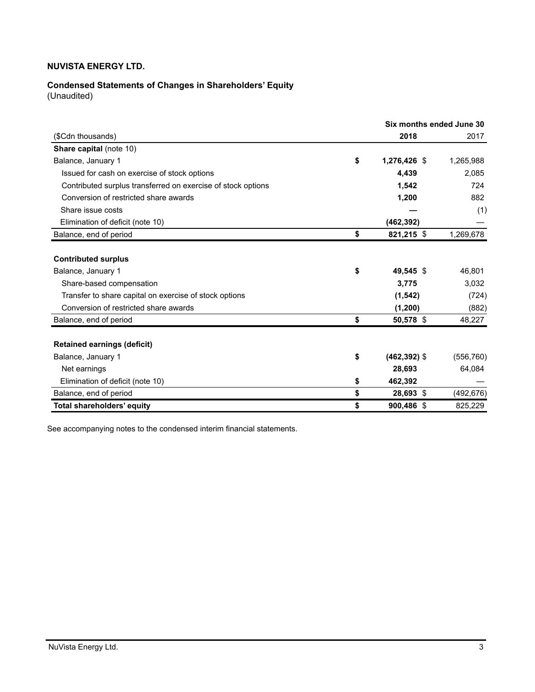# **Condensed Statements of Changes in Shareholders' Equity**

(Unaudited)

|                                                              | Six months ended June 30 |            |
|--------------------------------------------------------------|--------------------------|------------|
| (\$Cdn thousands)                                            | 2018                     | 2017       |
| <b>Share capital (note 10)</b>                               |                          |            |
| Balance, January 1                                           | \$<br>1,276,426 \$       | 1,265,988  |
| Issued for cash on exercise of stock options                 | 4.439                    | 2,085      |
| Contributed surplus transferred on exercise of stock options | 1,542                    | 724        |
| Conversion of restricted share awards                        | 1,200                    | 882        |
| Share issue costs                                            |                          | (1)        |
| Elimination of deficit (note 10)                             | (462, 392)               |            |
| Balance, end of period                                       | \$<br>821,215 \$         | 1,269,678  |
|                                                              |                          |            |
| <b>Contributed surplus</b>                                   |                          |            |
| Balance, January 1                                           | \$<br>49,545 \$          | 46,801     |
| Share-based compensation                                     | 3,775                    | 3,032      |
| Transfer to share capital on exercise of stock options       | (1, 542)                 | (724)      |
| Conversion of restricted share awards                        | (1,200)                  | (882)      |
| Balance, end of period                                       | \$<br>50,578 \$          | 48,227     |
|                                                              |                          |            |
| <b>Retained earnings (deficit)</b>                           |                          |            |
| Balance, January 1                                           | \$<br>$(462, 392)$ \$    | (556, 760) |
| Net earnings                                                 | 28,693                   | 64,084     |
| Elimination of deficit (note 10)                             | \$<br>462,392            |            |
| Balance, end of period                                       | \$<br>28,693 \$          | (492, 676) |
| Total shareholders' equity                                   | \$<br>900,486 \$         | 825,229    |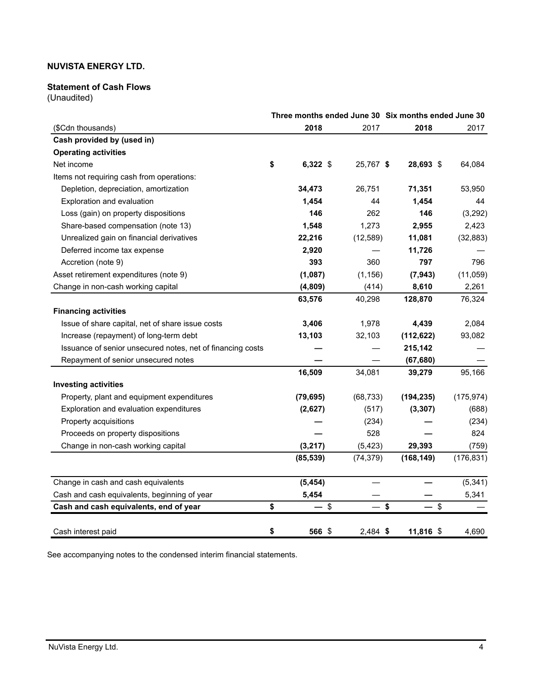## **Statement of Cash Flows**

(Unaudited)

|                                                            |                                |                         |           | Three months ended June 30 Six months ended June 30 |            |
|------------------------------------------------------------|--------------------------------|-------------------------|-----------|-----------------------------------------------------|------------|
| (\$Cdn thousands)                                          | 2018                           |                         | 2017      | 2018                                                | 2017       |
| Cash provided by (used in)                                 |                                |                         |           |                                                     |            |
| <b>Operating activities</b>                                |                                |                         |           |                                                     |            |
| Net income                                                 | \$<br>6,322 \$                 |                         | 25,767 \$ | 28,693 \$                                           | 64,084     |
| Items not requiring cash from operations:                  |                                |                         |           |                                                     |            |
| Depletion, depreciation, amortization                      | 34,473                         |                         | 26,751    | 71,351                                              | 53,950     |
| Exploration and evaluation                                 | 1,454                          |                         | 44        | 1,454                                               | 44         |
| Loss (gain) on property dispositions                       | 146                            |                         | 262       | 146                                                 | (3,292)    |
| Share-based compensation (note 13)                         | 1,548                          |                         | 1,273     | 2,955                                               | 2,423      |
| Unrealized gain on financial derivatives                   | 22,216                         |                         | (12, 589) | 11,081                                              | (32, 883)  |
| Deferred income tax expense                                | 2,920                          |                         |           | 11,726                                              |            |
| Accretion (note 9)                                         | 393                            |                         | 360       | 797                                                 | 796        |
| Asset retirement expenditures (note 9)                     | (1,087)                        |                         | (1, 156)  | (7, 943)                                            | (11,059)   |
| Change in non-cash working capital                         | (4, 809)                       |                         | (414)     | 8,610                                               | 2,261      |
|                                                            | 63,576                         |                         | 40,298    | 128,870                                             | 76,324     |
| <b>Financing activities</b>                                |                                |                         |           |                                                     |            |
| Issue of share capital, net of share issue costs           | 3,406                          |                         | 1,978     | 4,439                                               | 2,084      |
| Increase (repayment) of long-term debt                     | 13,103                         |                         | 32,103    | (112, 622)                                          | 93,082     |
| Issuance of senior unsecured notes, net of financing costs |                                |                         |           | 215,142                                             |            |
| Repayment of senior unsecured notes                        |                                |                         |           | (67, 680)                                           |            |
|                                                            | 16,509                         |                         | 34,081    | 39,279                                              | 95,166     |
| <b>Investing activities</b>                                |                                |                         |           |                                                     |            |
| Property, plant and equipment expenditures                 | (79, 695)                      |                         | (68, 733) | (194, 235)                                          | (175, 974) |
| Exploration and evaluation expenditures                    | (2,627)                        |                         | (517)     | (3, 307)                                            | (688)      |
| Property acquisitions                                      |                                |                         | (234)     |                                                     | (234)      |
| Proceeds on property dispositions                          |                                |                         | 528       |                                                     | 824        |
| Change in non-cash working capital                         | (3, 217)                       |                         | (5, 423)  | 29,393                                              | (759)      |
|                                                            | (85, 539)                      |                         | (74, 379) | (168, 149)                                          | (176, 831) |
| Change in cash and cash equivalents                        | (5, 454)                       |                         |           |                                                     | (5, 341)   |
| Cash and cash equivalents, beginning of year               | 5,454                          |                         |           |                                                     | 5,341      |
| Cash and cash equivalents, end of year                     | \$<br>$\overline{\phantom{0}}$ | $\sqrt[6]{\frac{1}{2}}$ | $-$ \$    | — \$                                                |            |
| Cash interest paid                                         | \$<br>566 \$                   |                         | 2,484 \$  | 11,816 \$                                           | 4,690      |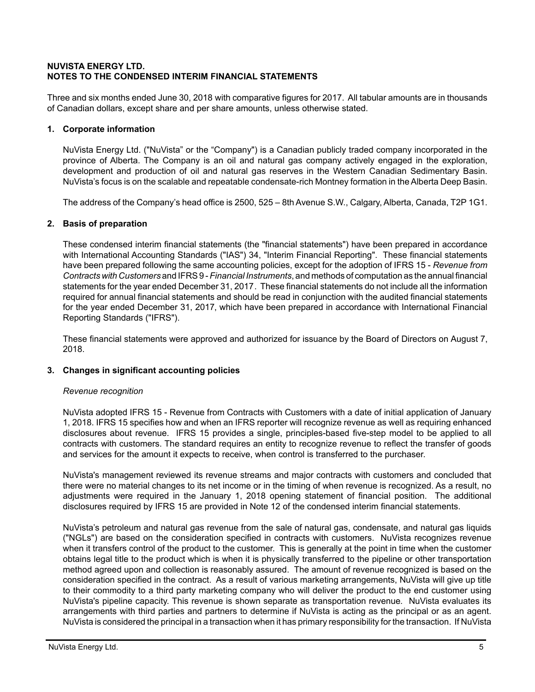## **NUVISTA ENERGY LTD. NOTES TO THE CONDENSED INTERIM FINANCIAL STATEMENTS**

Three and six months ended June 30, 2018 with comparative figures for 2017. All tabular amounts are in thousands of Canadian dollars, except share and per share amounts, unless otherwise stated.

## **1. Corporate information**

NuVista Energy Ltd. ("NuVista" or the "Company") is a Canadian publicly traded company incorporated in the province of Alberta. The Company is an oil and natural gas company actively engaged in the exploration, development and production of oil and natural gas reserves in the Western Canadian Sedimentary Basin. NuVista's focus is on the scalable and repeatable condensate-rich Montney formation in the Alberta Deep Basin.

The address of the Company's head office is 2500, 525 – 8th Avenue S.W., Calgary, Alberta, Canada, T2P 1G1.

## **2. Basis of preparation**

These condensed interim financial statements (the "financial statements") have been prepared in accordance with International Accounting Standards ("IAS") 34, "Interim Financial Reporting". These financial statements have been prepared following the same accounting policies, except for the adoption of IFRS 15 - *Revenue from Contracts with Customers* and IFRS 9 - *Financial Instruments*, and methods of computation as the annual financial statements for the year ended December 31, 2017. These financial statements do not include all the information required for annual financial statements and should be read in conjunction with the audited financial statements for the year ended December 31, 2017, which have been prepared in accordance with International Financial Reporting Standards ("IFRS").

These financial statements were approved and authorized for issuance by the Board of Directors on August 7, 2018.

## **3. Changes in significant accounting policies**

## *Revenue recognition*

NuVista adopted IFRS 15 - Revenue from Contracts with Customers with a date of initial application of January 1, 2018. IFRS 15 specifies how and when an IFRS reporter will recognize revenue as well as requiring enhanced disclosures about revenue. IFRS 15 provides a single, principles-based five-step model to be applied to all contracts with customers. The standard requires an entity to recognize revenue to reflect the transfer of goods and services for the amount it expects to receive, when control is transferred to the purchaser.

NuVista's management reviewed its revenue streams and major contracts with customers and concluded that there were no material changes to its net income or in the timing of when revenue is recognized. As a result, no adjustments were required in the January 1, 2018 opening statement of financial position. The additional disclosures required by IFRS 15 are provided in Note 12 of the condensed interim financial statements.

NuVista's petroleum and natural gas revenue from the sale of natural gas, condensate, and natural gas liquids ("NGLs") are based on the consideration specified in contracts with customers. NuVista recognizes revenue when it transfers control of the product to the customer. This is generally at the point in time when the customer obtains legal title to the product which is when it is physically transferred to the pipeline or other transportation method agreed upon and collection is reasonably assured. The amount of revenue recognized is based on the consideration specified in the contract. As a result of various marketing arrangements, NuVista will give up title to their commodity to a third party marketing company who will deliver the product to the end customer using NuVista's pipeline capacity. This revenue is shown separate as transportation revenue*.* NuVista evaluates its arrangements with third parties and partners to determine if NuVista is acting as the principal or as an agent. NuVista is considered the principal in a transaction when it has primary responsibility for the transaction. If NuVista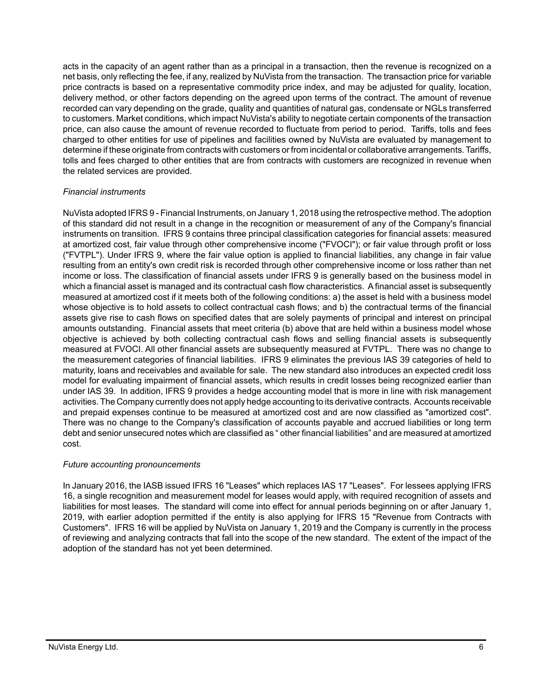acts in the capacity of an agent rather than as a principal in a transaction, then the revenue is recognized on a net basis, only reflecting the fee, if any, realized by NuVista from the transaction. The transaction price for variable price contracts is based on a representative commodity price index, and may be adjusted for quality, location, delivery method, or other factors depending on the agreed upon terms of the contract. The amount of revenue recorded can vary depending on the grade, quality and quantities of natural gas, condensate or NGLs transferred to customers. Market conditions, which impact NuVista's ability to negotiate certain components of the transaction price, can also cause the amount of revenue recorded to fluctuate from period to period. Tariffs, tolls and fees charged to other entities for use of pipelines and facilities owned by NuVista are evaluated by management to determine if these originate from contracts with customers or from incidental or collaborative arrangements. Tariffs, tolls and fees charged to other entities that are from contracts with customers are recognized in revenue when the related services are provided.

## *Financial instruments*

NuVista adopted IFRS 9 - Financial Instruments, on January 1, 2018 using the retrospective method. The adoption of this standard did not result in a change in the recognition or measurement of any of the Company's financial instruments on transition. IFRS 9 contains three principal classification categories for financial assets: measured at amortized cost, fair value through other comprehensive income ("FVOCI"); or fair value through profit or loss ("FVTPL"). Under IFRS 9, where the fair value option is applied to financial liabilities, any change in fair value resulting from an entity's own credit risk is recorded through other comprehensive income or loss rather than net income or loss. The classification of financial assets under IFRS 9 is generally based on the business model in which a financial asset is managed and its contractual cash flow characteristics. A financial asset is subsequently measured at amortized cost if it meets both of the following conditions: a) the asset is held with a business model whose objective is to hold assets to collect contractual cash flows; and b) the contractual terms of the financial assets give rise to cash flows on specified dates that are solely payments of principal and interest on principal amounts outstanding. Financial assets that meet criteria (b) above that are held within a business model whose objective is achieved by both collecting contractual cash flows and selling financial assets is subsequently measured at FVOCI. All other financial assets are subsequently measured at FVTPL. There was no change to the measurement categories of financial liabilities. IFRS 9 eliminates the previous IAS 39 categories of held to maturity, loans and receivables and available for sale. The new standard also introduces an expected credit loss model for evaluating impairment of financial assets, which results in credit losses being recognized earlier than under IAS 39. In addition, IFRS 9 provides a hedge accounting model that is more in line with risk management activities. The Company currently does not apply hedge accounting to its derivative contracts. Accounts receivable and prepaid expenses continue to be measured at amortized cost and are now classified as "amortized cost". There was no change to the Company's classification of accounts payable and accrued liabilities or long term debt and senior unsecured notes which are classified as " other financial liabilities" and are measured at amortized cost.

## *Future accounting pronouncements*

In January 2016, the IASB issued IFRS 16 "Leases" which replaces IAS 17 "Leases". For lessees applying IFRS 16, a single recognition and measurement model for leases would apply, with required recognition of assets and liabilities for most leases. The standard will come into effect for annual periods beginning on or after January 1, 2019, with earlier adoption permitted if the entity is also applying for IFRS 15 "Revenue from Contracts with Customers". IFRS 16 will be applied by NuVista on January 1, 2019 and the Company is currently in the process of reviewing and analyzing contracts that fall into the scope of the new standard. The extent of the impact of the adoption of the standard has not yet been determined.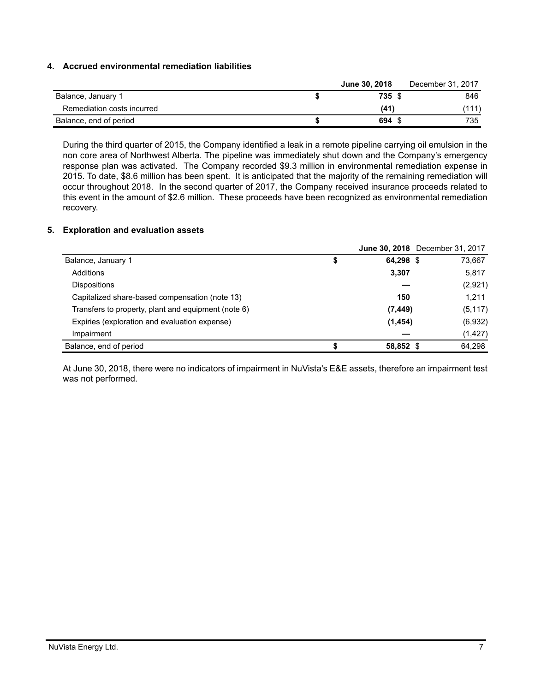## **4. Accrued environmental remediation liabilities**

|                            | <b>June 30, 2018</b> | December 31, 2017 |
|----------------------------|----------------------|-------------------|
| Balance, January 1         | 735 \$               | 846               |
| Remediation costs incurred | (41                  | (111)             |
| Balance, end of period     | 694 \$               | 735               |

During the third quarter of 2015, the Company identified a leak in a remote pipeline carrying oil emulsion in the non core area of Northwest Alberta. The pipeline was immediately shut down and the Company's emergency response plan was activated. The Company recorded \$9.3 million in environmental remediation expense in 2015. To date, \$8.6 million has been spent. It is anticipated that the majority of the remaining remediation will occur throughout 2018. In the second quarter of 2017, the Company received insurance proceeds related to this event in the amount of \$2.6 million. These proceeds have been recognized as environmental remediation recovery.

## **5. Exploration and evaluation assets**

|                                                     |                 | June 30, 2018 December 31, 2017 |
|-----------------------------------------------------|-----------------|---------------------------------|
| Balance, January 1                                  | \$<br>64,298 \$ | 73,667                          |
| Additions                                           | 3,307           | 5,817                           |
| <b>Dispositions</b>                                 |                 | (2,921)                         |
| Capitalized share-based compensation (note 13)      | 150             | 1,211                           |
| Transfers to property, plant and equipment (note 6) | (7, 449)        | (5, 117)                        |
| Expiries (exploration and evaluation expense)       | (1, 454)        | (6,932)                         |
| Impairment                                          |                 | (1, 427)                        |
| Balance, end of period                              | 58,852 \$       | 64,298                          |

At June 30, 2018, there were no indicators of impairment in NuVista's E&E assets, therefore an impairment test was not performed.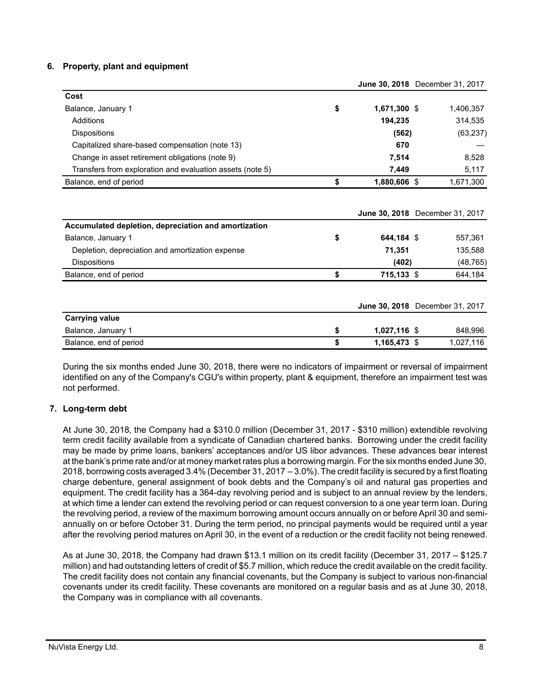### **6. Property, plant and equipment**

|                                                           |                    | JUNE 30, ZUIO DECENIDEI 31, ZUIT |
|-----------------------------------------------------------|--------------------|----------------------------------|
| Cost                                                      |                    |                                  |
| Balance, January 1                                        | \$<br>1,671,300 \$ | 1,406,357                        |
| Additions                                                 | 194,235            | 314,535                          |
| <b>Dispositions</b>                                       | (562)              | (63, 237)                        |
| Capitalized share-based compensation (note 13)            | 670                |                                  |
| Change in asset retirement obligations (note 9)           | 7,514              | 8,528                            |
| Transfers from exploration and evaluation assets (note 5) | 7,449              | 5,117                            |
| Balance, end of period                                    | \$<br>1,880,606 \$ | 1,671,300                        |
| Accumulated depletion, depreciation and amortization      |                    | June 30, 2018 December 31, 2017  |
| Balance, January 1                                        | \$<br>644,184 \$   | 557,361                          |
| Depletion, depreciation and amortization expense          | 71,351             | 135,588                          |
| <b>Dispositions</b>                                       | (402)              | (48, 765)                        |
| Balance, end of period                                    | \$<br>715,133 \$   | 644,184                          |
|                                                           |                    | June 30, 2018 December 31, 2017  |
| <b>Carrying value</b>                                     |                    |                                  |
| Balance, January 1                                        | \$<br>1,027,116 \$ | 848,996                          |
| Balance, end of period                                    | \$<br>1,165,473 \$ | 1,027,116                        |

During the six months ended June 30, 2018, there were no indicators of impairment or reversal of impairment identified on any of the Company's CGU's within property, plant & equipment, therefore an impairment test was not performed.

## **7. Long-term debt**

At June 30, 2018, the Company had a \$310.0 million (December 31, 2017 - \$310 million) extendible revolving term credit facility available from a syndicate of Canadian chartered banks. Borrowing under the credit facility may be made by prime loans, bankers' acceptances and/or US libor advances. These advances bear interest at the bank's prime rate and/or at money market rates plus a borrowing margin. For the six months ended June 30, 2018, borrowing costs averaged 3.4% (December 31, 2017 – 3.0%). The credit facility is secured by a first floating charge debenture, general assignment of book debts and the Company's oil and natural gas properties and equipment. The credit facility has a 364-day revolving period and is subject to an annual review by the lenders, at which time a lender can extend the revolving period or can request conversion to a one year term loan. During the revolving period, a review of the maximum borrowing amount occurs annually on or before April 30 and semiannually on or before October 31. During the term period, no principal payments would be required until a year after the revolving period matures on April 30, in the event of a reduction or the credit facility not being renewed.

As at June 30, 2018, the Company had drawn \$13.1 million on its credit facility (December 31, 2017 – \$125.7 million) and had outstanding letters of credit of \$5.7 million, which reduce the credit available on the credit facility. The credit facility does not contain any financial covenants, but the Company is subject to various non-financial covenants under its credit facility. These covenants are monitored on a regular basis and as at June 30, 2018, the Company was in compliance with all covenants.

**June 30, 2018** December 31, 2017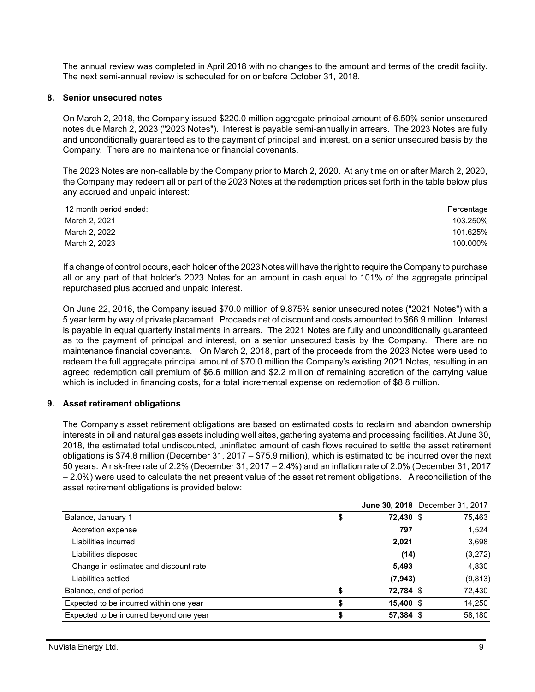The annual review was completed in April 2018 with no changes to the amount and terms of the credit facility. The next semi-annual review is scheduled for on or before October 31, 2018.

#### **8. Senior unsecured notes**

On March 2, 2018, the Company issued \$220.0 million aggregate principal amount of 6.50% senior unsecured notes due March 2, 2023 ("2023 Notes"). Interest is payable semi-annually in arrears. The 2023 Notes are fully and unconditionally guaranteed as to the payment of principal and interest, on a senior unsecured basis by the Company. There are no maintenance or financial covenants.

The 2023 Notes are non-callable by the Company prior to March 2, 2020. At any time on or after March 2, 2020, the Company may redeem all or part of the 2023 Notes at the redemption prices set forth in the table below plus any accrued and unpaid interest:

| 12 month period ended: | Percentage |
|------------------------|------------|
| March 2, 2021          | 103.250%   |
| March 2, 2022          | 101.625%   |
| March 2, 2023          | 100.000%   |

If a change of control occurs, each holder of the 2023 Notes will have the right to require the Company to purchase all or any part of that holder's 2023 Notes for an amount in cash equal to 101% of the aggregate principal repurchased plus accrued and unpaid interest.

On June 22, 2016, the Company issued \$70.0 million of 9.875% senior unsecured notes ("2021 Notes") with a 5 year term by way of private placement. Proceeds net of discount and costs amounted to \$66.9 million. Interest is payable in equal quarterly installments in arrears. The 2021 Notes are fully and unconditionally guaranteed as to the payment of principal and interest, on a senior unsecured basis by the Company. There are no maintenance financial covenants. On March 2, 2018, part of the proceeds from the 2023 Notes were used to redeem the full aggregate principal amount of \$70.0 million the Company's existing 2021 Notes, resulting in an agreed redemption call premium of \$6.6 million and \$2.2 million of remaining accretion of the carrying value which is included in financing costs, for a total incremental expense on redemption of \$8.8 million.

#### **9. Asset retirement obligations**

The Company's asset retirement obligations are based on estimated costs to reclaim and abandon ownership interests in oil and natural gas assets including well sites, gathering systems and processing facilities. At June 30, 2018, the estimated total undiscounted, uninflated amount of cash flows required to settle the asset retirement obligations is \$74.8 million (December 31, 2017 – \$75.9 million), which is estimated to be incurred over the next 50 years. A risk-free rate of 2.2% (December 31, 2017 – 2.4%) and an inflation rate of 2.0% (December 31, 2017 – 2.0%) were used to calculate the net present value of the asset retirement obligations. A reconciliation of the asset retirement obligations is provided below:

|                                         |    | <b>June 30, 2018</b> December 31, 2017 |          |
|-----------------------------------------|----|----------------------------------------|----------|
| Balance, January 1                      | \$ | 72,430 \$                              | 75,463   |
| Accretion expense                       |    | 797                                    | 1,524    |
| Liabilities incurred                    |    | 2,021                                  | 3,698    |
| Liabilities disposed                    |    | (14)                                   | (3,272)  |
| Change in estimates and discount rate   |    | 5,493                                  | 4,830    |
| Liabilities settled                     |    | (7, 943)                               | (9, 813) |
| Balance, end of period                  |    | 72,784 \$                              | 72,430   |
| Expected to be incurred within one year | S  | $15,400$ \$                            | 14,250   |
| Expected to be incurred beyond one year | \$ | 57,384 \$                              | 58.180   |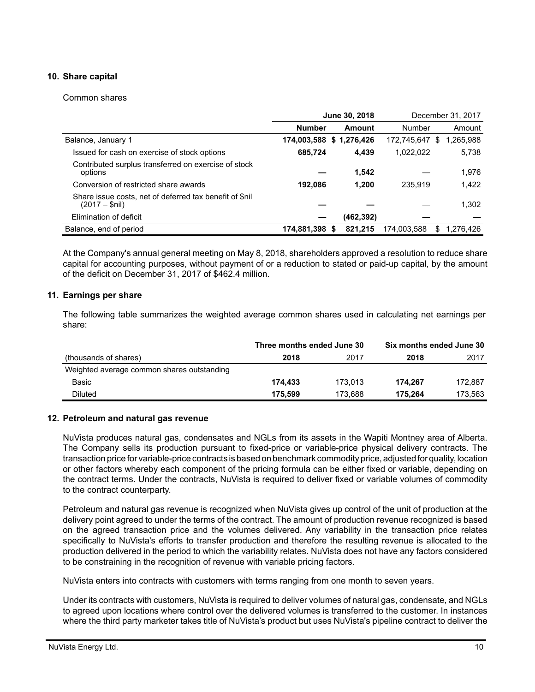## **10. Share capital**

#### Common shares

|                                                                           |                         | June 30, 2018   |             | December 31, 2017 |
|---------------------------------------------------------------------------|-------------------------|-----------------|-------------|-------------------|
|                                                                           | <b>Number</b>           | Amount          | Number      | Amount            |
| Balance, January 1                                                        | 174,003,588 \$1,276,426 |                 | 172,745,647 | 1,265,988<br>S    |
| Issued for cash on exercise of stock options                              | 685,724                 | 4,439           | 1,022,022   | 5,738             |
| Contributed surplus transferred on exercise of stock<br>options           |                         | 1,542           |             | 1,976             |
| Conversion of restricted share awards                                     | 192.086                 | 1.200           | 235.919     | 1,422             |
| Share issue costs, net of deferred tax benefit of \$nil<br>(2017 – \$nil) |                         |                 |             | 1,302             |
| Elimination of deficit                                                    |                         | (462, 392)      |             |                   |
| Balance, end of period                                                    | 174,881,398             | 821.215<br>- 56 | 174,003,588 | 1,276,426<br>S    |

At the Company's annual general meeting on May 8, 2018, shareholders approved a resolution to reduce share capital for accounting purposes, without payment of or a reduction to stated or paid-up capital, by the amount of the deficit on December 31, 2017 of \$462.4 million.

## **11. Earnings per share**

The following table summarizes the weighted average common shares used in calculating net earnings per share:

|                                            | Three months ended June 30 |         | Six months ended June 30 |         |  |  |
|--------------------------------------------|----------------------------|---------|--------------------------|---------|--|--|
| (thousands of shares)                      | 2018                       | 2017    | 2018                     | 2017    |  |  |
| Weighted average common shares outstanding |                            |         |                          |         |  |  |
| Basic                                      | 174.433                    | 173.013 | 174.267                  | 172.887 |  |  |
| <b>Diluted</b>                             | 175.599                    | 173.688 | 175.264                  | 173.563 |  |  |

## **12. Petroleum and natural gas revenue**

NuVista produces natural gas, condensates and NGLs from its assets in the Wapiti Montney area of Alberta. The Company sells its production pursuant to fixed-price or variable-price physical delivery contracts. The transaction price for variable-price contracts is based on benchmark commodity price, adjusted for quality, location or other factors whereby each component of the pricing formula can be either fixed or variable, depending on the contract terms. Under the contracts, NuVista is required to deliver fixed or variable volumes of commodity to the contract counterparty.

Petroleum and natural gas revenue is recognized when NuVista gives up control of the unit of production at the delivery point agreed to under the terms of the contract. The amount of production revenue recognized is based on the agreed transaction price and the volumes delivered. Any variability in the transaction price relates specifically to NuVista's efforts to transfer production and therefore the resulting revenue is allocated to the production delivered in the period to which the variability relates. NuVista does not have any factors considered to be constraining in the recognition of revenue with variable pricing factors.

NuVista enters into contracts with customers with terms ranging from one month to seven years.

Under its contracts with customers, NuVista is required to deliver volumes of natural gas, condensate, and NGLs to agreed upon locations where control over the delivered volumes is transferred to the customer. In instances where the third party marketer takes title of NuVista's product but uses NuVista's pipeline contract to deliver the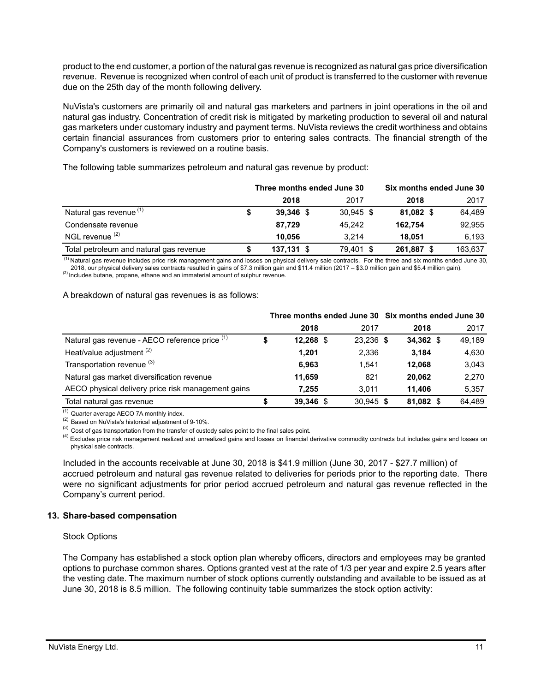product to the end customer, a portion of the natural gas revenue is recognized as natural gas price diversification revenue. Revenue is recognized when control of each unit of product is transferred to the customer with revenue due on the 25th day of the month following delivery.

NuVista's customers are primarily oil and natural gas marketers and partners in joint operations in the oil and natural gas industry. Concentration of credit risk is mitigated by marketing production to several oil and natural gas marketers under customary industry and payment terms. NuVista reviews the credit worthiness and obtains certain financial assurances from customers prior to entering sales contracts. The financial strength of the Company's customers is reviewed on a routine basis.

The following table summarizes petroleum and natural gas revenue by product:

|                                         | Three months ended June 30 |              |  |             |  | Six months ended June 30 |  |         |  |
|-----------------------------------------|----------------------------|--------------|--|-------------|--|--------------------------|--|---------|--|
|                                         |                            | 2018         |  | 2017        |  | 2018                     |  | 2017    |  |
| Natural gas revenue <sup>(1)</sup>      |                            | $39,346$ \$  |  | $30.945$ \$ |  | 81,082 \$                |  | 64.489  |  |
| Condensate revenue                      |                            | 87.729       |  | 45.242      |  | 162.754                  |  | 92,955  |  |
| NGL revenue <sup>(2)</sup>              |                            | 10.056       |  | 3.214       |  | 18.051                   |  | 6.193   |  |
| Total petroleum and natural gas revenue |                            | $137,131$ \$ |  | 79.401 \$   |  | 261,887 \$               |  | 163.637 |  |

(1) Natural gas revenue includes price risk management gains and losses on physical delivery sale contracts. For the three and six months ended June 30, 2018, our physical delivery sales contracts resulted in gains of \$7.3 million gain and \$11.4 million (2017 – \$3.0 million gain and \$5.4 million gain). (2) Includes butane, propane, ethane and an immaterial amount of sulphur revenue.

#### A breakdown of natural gas revenues is as follows:

|                                                    |             |             | Three months ended June 30 Six months ended June 30 |        |  |  |  |
|----------------------------------------------------|-------------|-------------|-----------------------------------------------------|--------|--|--|--|
|                                                    | 2018        | 2017        | 2018                                                | 2017   |  |  |  |
| Natural gas revenue - AECO reference price (1)     | $12,268$ \$ | 23,236 \$   | 34,362 \$                                           | 49.189 |  |  |  |
| Heat/value adjustment <sup>(2)</sup>               | 1.201       | 2,336       | 3.184                                               | 4,630  |  |  |  |
| Transportation revenue (3)                         | 6.963       | 1.541       | 12.068                                              | 3,043  |  |  |  |
| Natural gas market diversification revenue         | 11.659      | 821         | 20.062                                              | 2,270  |  |  |  |
| AECO physical delivery price risk management gains | 7.255       | 3.011       | 11.406                                              | 5,357  |  |  |  |
| Total natural gas revenue                          | 39.346 \$   | $30.945$ \$ | 81.082 \$                                           | 64.489 |  |  |  |

 $(1)$  Quarter average AECO 7A monthly index.

(2) Based on NuVista's historical adjustment of 9-10%.

 $^{(3)}$  Cost of gas transportation from the transfer of custody sales point to the final sales point.

<sup>(4)</sup> Excludes price risk management realized and unrealized gains and losses on financial derivative commodity contracts but includes gains and losses on physical sale contracts.

Included in the accounts receivable at June 30, 2018 is \$41.9 million (June 30, 2017 - \$27.7 million) of accrued petroleum and natural gas revenue related to deliveries for periods prior to the reporting date. There were no significant adjustments for prior period accrued petroleum and natural gas revenue reflected in the Company's current period.

#### **13. Share-based compensation**

#### Stock Options

The Company has established a stock option plan whereby officers, directors and employees may be granted options to purchase common shares. Options granted vest at the rate of 1/3 per year and expire 2.5 years after the vesting date. The maximum number of stock options currently outstanding and available to be issued as at June 30, 2018 is 8.5 million. The following continuity table summarizes the stock option activity: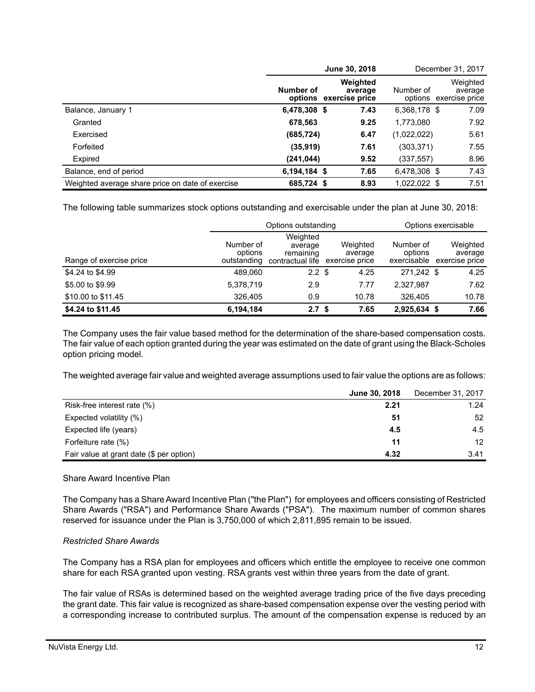|                                                  |              | June 30, 2018                                 |              | December 31, 2017                             |  |
|--------------------------------------------------|--------------|-----------------------------------------------|--------------|-----------------------------------------------|--|
|                                                  | Number of    | Weighted<br>average<br>options exercise price | Number of    | Weighted<br>average<br>options exercise price |  |
| Balance, January 1                               | 6,478,308 \$ | 7.43                                          | 6,368,178 \$ | 7.09                                          |  |
| Granted                                          | 678,563      | 9.25                                          | 1,773,080    | 7.92                                          |  |
| Exercised                                        | (685, 724)   | 6.47                                          | (1,022,022)  | 5.61                                          |  |
| Forfeited                                        | (35, 919)    | 7.61                                          | (303,371)    | 7.55                                          |  |
| Expired                                          | (241,044)    | 9.52                                          | (337,557)    | 8.96                                          |  |
| Balance, end of period                           | 6,194,184 \$ | 7.65                                          | 6,478,308 \$ | 7.43                                          |  |
| Weighted average share price on date of exercise | 685,724 \$   | 8.93                                          | 1,022,022 \$ | 7.51                                          |  |

The following table summarizes stock options outstanding and exercisable under the plan at June 30, 2018:

|                         |                                     | Options outstanding                                  |                                       | Options exercisable                 |  |                                       |  |
|-------------------------|-------------------------------------|------------------------------------------------------|---------------------------------------|-------------------------------------|--|---------------------------------------|--|
| Range of exercise price | Number of<br>options<br>outstanding | Weighted<br>average<br>remaining<br>contractual life | Weighted<br>average<br>exercise price | Number of<br>options<br>exercisable |  | Weighted<br>average<br>exercise price |  |
| \$4,24 to \$4,99        | 489.060                             | $2.2 \text{ }$ \$                                    | 4.25                                  | 271.242 \$                          |  | 4.25                                  |  |
| \$5,00 to \$9.99        | 5,378,719                           | 2.9                                                  | 7.77                                  | 2,327,987                           |  | 7.62                                  |  |
| \$10.00 to \$11.45      | 326,405                             | 0.9                                                  | 10.78                                 | 326.405                             |  | 10.78                                 |  |
| \$4.24 to \$11.45       | 6,194,184                           | 2.7 <sup>5</sup>                                     | 7.65                                  | 2,925,634 \$                        |  | 7.66                                  |  |

The Company uses the fair value based method for the determination of the share-based compensation costs. The fair value of each option granted during the year was estimated on the date of grant using the Black-Scholes option pricing model.

The weighted average fair value and weighted average assumptions used to fair value the options are as follows:

|                                          | June 30, 2018 | December 31, 2017 |
|------------------------------------------|---------------|-------------------|
| Risk-free interest rate (%)              | 2.21          | 1.24              |
| Expected volatility (%)                  | 51            | 52                |
| Expected life (years)                    | 4.5           | 4.5               |
| Forfeiture rate (%)                      | 11            | 12 <sup>2</sup>   |
| Fair value at grant date (\$ per option) | 4.32          | 3.41              |

## Share Award Incentive Plan

The Company has a Share Award Incentive Plan ("the Plan") for employees and officers consisting of Restricted Share Awards ("RSA") and Performance Share Awards ("PSA"). The maximum number of common shares reserved for issuance under the Plan is 3,750,000 of which 2,811,895 remain to be issued.

## *Restricted Share Awards*

The Company has a RSA plan for employees and officers which entitle the employee to receive one common share for each RSA granted upon vesting. RSA grants vest within three years from the date of grant.

The fair value of RSAs is determined based on the weighted average trading price of the five days preceding the grant date. This fair value is recognized as share-based compensation expense over the vesting period with a corresponding increase to contributed surplus. The amount of the compensation expense is reduced by an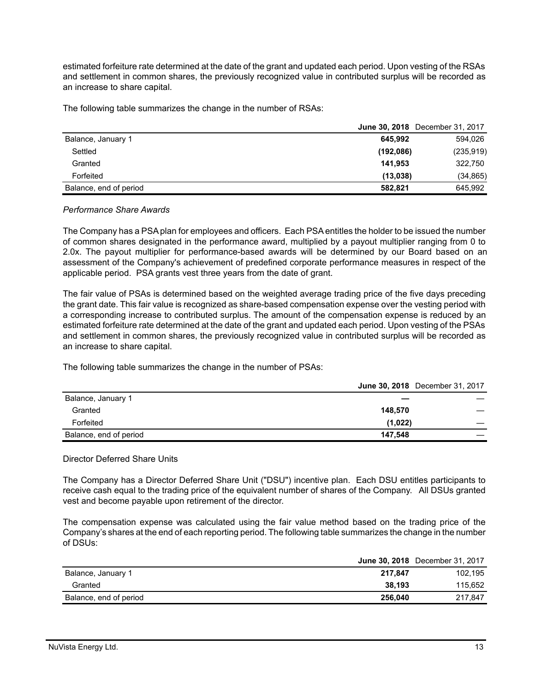estimated forfeiture rate determined at the date of the grant and updated each period. Upon vesting of the RSAs and settlement in common shares, the previously recognized value in contributed surplus will be recorded as an increase to share capital.

The following table summarizes the change in the number of RSAs:

|                        | <b>June 30, 2018</b> December 31, 2017 |            |
|------------------------|----------------------------------------|------------|
| Balance, January 1     | 645.992                                | 594,026    |
| Settled                | (192,086)                              | (235, 919) |
| Granted                | 141.953                                | 322,750    |
| Forfeited              | (13.038)                               | (34, 865)  |
| Balance, end of period | 582.821                                | 645,992    |

#### *Performance Share Awards*

The Company has a PSA plan for employees and officers. Each PSA entitles the holder to be issued the number of common shares designated in the performance award, multiplied by a payout multiplier ranging from 0 to 2.0x. The payout multiplier for performance-based awards will be determined by our Board based on an assessment of the Company's achievement of predefined corporate performance measures in respect of the applicable period. PSA grants vest three years from the date of grant.

The fair value of PSAs is determined based on the weighted average trading price of the five days preceding the grant date. This fair value is recognized as share-based compensation expense over the vesting period with a corresponding increase to contributed surplus. The amount of the compensation expense is reduced by an estimated forfeiture rate determined at the date of the grant and updated each period. Upon vesting of the PSAs and settlement in common shares, the previously recognized value in contributed surplus will be recorded as an increase to share capital.

The following table summarizes the change in the number of PSAs:

|                        |         | <b>June 30, 2018</b> December 31, 2017 |
|------------------------|---------|----------------------------------------|
| Balance, January 1     |         |                                        |
| Granted                | 148.570 |                                        |
| Forfeited              | (1,022) |                                        |
| Balance, end of period | 147.548 |                                        |

#### Director Deferred Share Units

The Company has a Director Deferred Share Unit ("DSU") incentive plan. Each DSU entitles participants to receive cash equal to the trading price of the equivalent number of shares of the Company. All DSUs granted vest and become payable upon retirement of the director.

The compensation expense was calculated using the fair value method based on the trading price of the Company's shares at the end of each reporting period. The following table summarizes the change in the number of DSUs:

|                        |         | <b>June 30, 2018</b> December 31, 2017 |
|------------------------|---------|----------------------------------------|
| Balance, January 1     | 217.847 | 102.195                                |
| Granted                | 38.193  | 115.652                                |
| Balance, end of period | 256.040 | 217.847                                |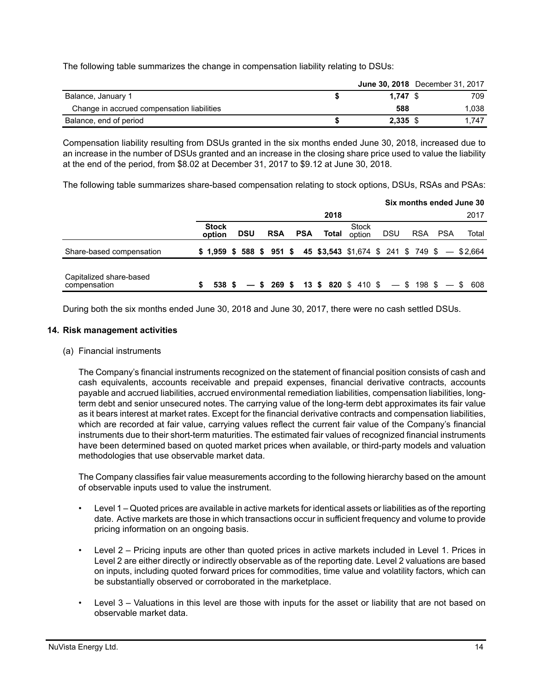The following table summarizes the change in compensation liability relating to DSUs:

|                                            |            | <b>June 30, 2018</b> December 31, 2017 |
|--------------------------------------------|------------|----------------------------------------|
| Balance, January 1                         | $1.747$ \$ | 709                                    |
| Change in accrued compensation liabilities | 588        | 1.038                                  |
| Balance, end of period                     | 2,335 \$   | 1.747                                  |

Compensation liability resulting from DSUs granted in the six months ended June 30, 2018, increased due to an increase in the number of DSUs granted and an increase in the closing share price used to value the liability at the end of the period, from \$8.02 at December 31, 2017 to \$9.12 at June 30, 2018.

The following table summarizes share-based compensation relating to stock options, DSUs, RSAs and PSAs:

|                                         |                           |            |               |            |       |                                                                           |            | Six months ended June 30 |            |       |
|-----------------------------------------|---------------------------|------------|---------------|------------|-------|---------------------------------------------------------------------------|------------|--------------------------|------------|-------|
|                                         |                           |            |               |            | 2018  |                                                                           |            |                          |            | 2017  |
|                                         | <b>Stock</b><br>option    | <b>DSU</b> | <b>RSA</b>    | <b>PSA</b> | Total | Stock<br>option                                                           | <b>DSU</b> | <b>RSA</b>               | <b>PSA</b> | Total |
| Share-based compensation                | $$1,959$ \$ 588 \$ 951 \$ |            |               |            |       | 45 \$3,543 \$1,674 \$ 241 \$ 749 \$ - \$2,664                             |            |                          |            |       |
| Capitalized share-based<br>compensation | 538 \$                    |            | $-$ \$ 269 \$ |            |       | <b>13 \$ 820 \$ 410 \$ <math>-</math> \$ 198 \$ <math>-</math> \$ 608</b> |            |                          |            |       |

During both the six months ended June 30, 2018 and June 30, 2017, there were no cash settled DSUs.

#### **14. Risk management activities**

(a) Financial instruments

The Company's financial instruments recognized on the statement of financial position consists of cash and cash equivalents, accounts receivable and prepaid expenses, financial derivative contracts, accounts payable and accrued liabilities, accrued environmental remediation liabilities, compensation liabilities, longterm debt and senior unsecured notes. The carrying value of the long-term debt approximates its fair value as it bears interest at market rates. Except for the financial derivative contracts and compensation liabilities, which are recorded at fair value, carrying values reflect the current fair value of the Company's financial instruments due to their short-term maturities. The estimated fair values of recognized financial instruments have been determined based on quoted market prices when available, or third-party models and valuation methodologies that use observable market data.

The Company classifies fair value measurements according to the following hierarchy based on the amount of observable inputs used to value the instrument.

- Level 1 Quoted prices are available in active markets for identical assets or liabilities as of the reporting date. Active markets are those in which transactions occur in sufficient frequency and volume to provide pricing information on an ongoing basis.
- Level 2 Pricing inputs are other than quoted prices in active markets included in Level 1. Prices in Level 2 are either directly or indirectly observable as of the reporting date. Level 2 valuations are based on inputs, including quoted forward prices for commodities, time value and volatility factors, which can be substantially observed or corroborated in the marketplace.
- Level 3 Valuations in this level are those with inputs for the asset or liability that are not based on observable market data.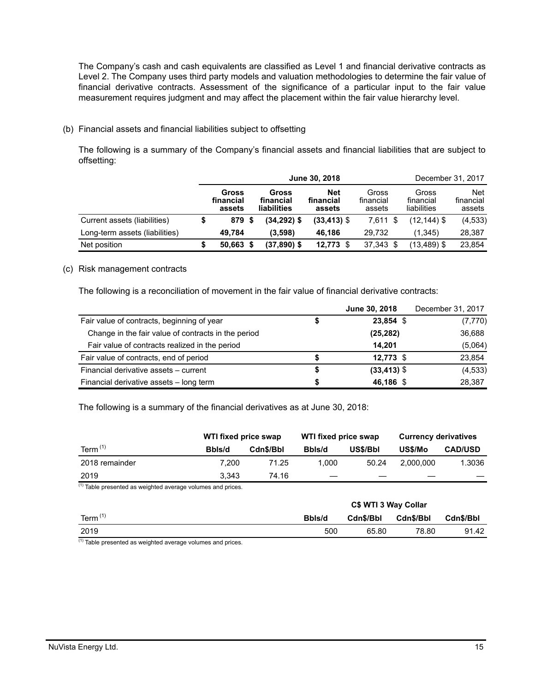The Company's cash and cash equivalents are classified as Level 1 and financial derivative contracts as Level 2. The Company uses third party models and valuation methodologies to determine the fair value of financial derivative contracts. Assessment of the significance of a particular input to the fair value measurement requires judgment and may affect the placement within the fair value hierarchy level.

## (b) Financial assets and financial liabilities subject to offsetting

The following is a summary of the Company's financial assets and financial liabilities that are subject to offsetting:

|                                |                              |                                   | June 30, 2018                     |                              |                                   | December 31, 2017                 |
|--------------------------------|------------------------------|-----------------------------------|-----------------------------------|------------------------------|-----------------------------------|-----------------------------------|
|                                | Gross<br>financial<br>assets | Gross<br>financial<br>liabilities | <b>Net</b><br>financial<br>assets | Gross<br>financial<br>assets | Gross<br>financial<br>liabilities | <b>Net</b><br>financial<br>assets |
| Current assets (liabilities)   | 879 \$                       | (34,292) \$                       | $(33, 413)$ \$                    | 7,611 \$                     | $(12, 144)$ \$                    | (4, 533)                          |
| Long-term assets (liabilities) | 49.784                       | (3.598)                           | 46.186                            | 29.732                       | (1.345)                           | 28,387                            |
| Net position                   | $50.663$ \$                  | (37,890) \$                       | 12,773                            | 37,343 \$                    | $(13, 489)$ \$                    | 23,854                            |

#### (c) Risk management contracts

The following is a reconciliation of movement in the fair value of financial derivative contracts:

|                                                     | June 30, 2018  | December 31, 2017 |
|-----------------------------------------------------|----------------|-------------------|
| Fair value of contracts, beginning of year          | 23,854 \$      | (7, 770)          |
| Change in the fair value of contracts in the period | (25, 282)      | 36,688            |
| Fair value of contracts realized in the period      | 14.201         | (5,064)           |
| Fair value of contracts, end of period              | $12,773$ \$    | 23,854            |
| Financial derivative assets - current               | $(33, 413)$ \$ | (4, 533)          |
| Financial derivative assets - long term             | 46,186 \$      | 28.387            |

The following is a summary of the financial derivatives as at June 30, 2018:

|                | WTI fixed price swap |           | WTI fixed price swap |          | <b>Currency derivatives</b> |                |  |  |
|----------------|----------------------|-----------|----------------------|----------|-----------------------------|----------------|--|--|
| Term $(1)$     | Bbls/d               | Cdn\$/Bbl | Bbls/d               | US\$/Bbl | US\$/Mo                     | <b>CAD/USD</b> |  |  |
| 2018 remainder | 7.200                | 71.25     | 1.000                | 50.24    | 2.000.000                   | 1.3036         |  |  |
| 2019           | 3.343                | 74.16     |                      |          |                             |                |  |  |

 $(1)$  Table presented as weighted average volumes and prices.

|               |        | C\$ WTI 3 Way Collar |           |           |  |  |
|---------------|--------|----------------------|-----------|-----------|--|--|
| Term $(1)$    | Bbls/d | Cdn\$/Bbl            | Cdn\$/Bbl | Cdn\$/Bbl |  |  |
| 2019          | 500    | 65.80                | 78.80     | 91.42     |  |  |
| $\mathcal{L}$ |        |                      |           |           |  |  |

 $(1)$  Table presented as weighted average volumes and prices.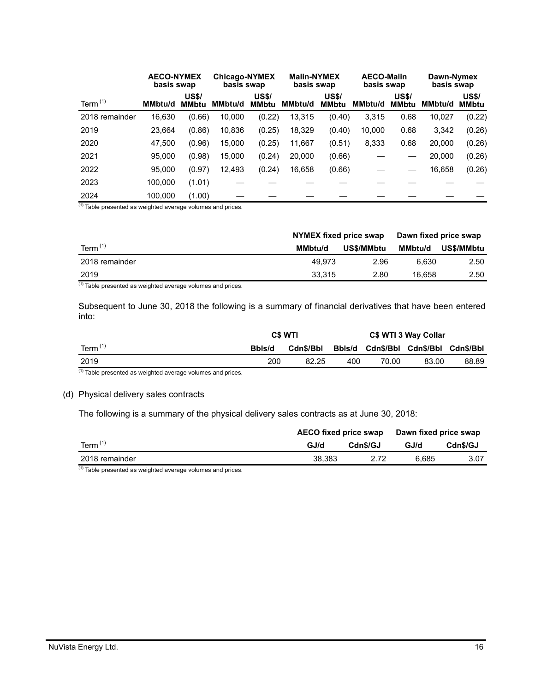|                | <b>AECO-NYMEX</b><br>basis swap |                              | <b>Chicago-NYMEX</b><br>basis swap |                              | <b>Malin-NYMEX</b><br>basis swap |                              | <b>AECO-Malin</b><br>basis swap |                              | Dawn-Nymex<br>basis swap |                              |
|----------------|---------------------------------|------------------------------|------------------------------------|------------------------------|----------------------------------|------------------------------|---------------------------------|------------------------------|--------------------------|------------------------------|
| Term $(1)$     | <b>MMbtu/d</b>                  | <b>US\$/</b><br><b>MMbtu</b> | MMbtu/d                            | <b>US\$/</b><br><b>MMbtu</b> | <b>MMbtu/d</b>                   | <b>US\$/</b><br><b>MMbtu</b> | <b>MMbtu/d</b>                  | <b>US\$/</b><br><b>MMbtu</b> | MMbtu/d                  | <b>US\$/</b><br><b>MMbtu</b> |
| 2018 remainder | 16,630                          | (0.66)                       | 10,000                             | (0.22)                       | 13,315                           | (0.40)                       | 3,315                           | 0.68                         | 10,027                   | (0.22)                       |
| 2019           | 23,664                          | (0.86)                       | 10,836                             | (0.25)                       | 18,329                           | (0.40)                       | 10,000                          | 0.68                         | 3,342                    | (0.26)                       |
| 2020           | 47,500                          | (0.96)                       | 15,000                             | (0.25)                       | 11,667                           | (0.51)                       | 8,333                           | 0.68                         | 20,000                   | (0.26)                       |
| 2021           | 95.000                          | (0.98)                       | 15,000                             | (0.24)                       | 20,000                           | (0.66)                       |                                 |                              | 20,000                   | (0.26)                       |
| 2022           | 95.000                          | (0.97)                       | 12,493                             | (0.24)                       | 16,658                           | (0.66)                       |                                 |                              | 16,658                   | (0.26)                       |
| 2023           | 100,000                         | (1.01)                       |                                    |                              |                                  |                              |                                 |                              |                          |                              |
| 2024           | 100,000                         | (1.00)                       |                                    |                              |                                  |                              |                                 |                              |                          |                              |

 $(1)$  Table presented as weighted average volumes and prices.

|                | NYMEX fixed price swap |            | Dawn fixed price swap |            |  |
|----------------|------------------------|------------|-----------------------|------------|--|
| Term $(1)$     | <b>MMbtu/d</b>         | US\$/MMbtu |                       | US\$/MMbtu |  |
| 2018 remainder | 49.973                 | 2.96       | 6.630                 | 2.50       |  |
| 2019           | 33.315                 | 2.80       | 16.658                | 2.50       |  |

 $(1)$  Table presented as weighted average volumes and prices.

Subsequent to June 30, 2018 the following is a summary of financial derivatives that have been entered into:

|            |        | <b>C\$ WTI</b>   | C\$ WTI 3 Way Collar |       |                            |           |
|------------|--------|------------------|----------------------|-------|----------------------------|-----------|
| Term $(1)$ | Bbls/d | <b>Cdn\$/Bbl</b> |                      |       | Bbls/d Cdn\$/Bbl Cdn\$/Bbl | Cdn\$/Bbl |
| 2019       | 200    | 82.25            | 400                  | 70.00 | 83.00                      | 88.89     |
| (4)        |        |                  |                      |       |                            |           |

 $(1)$  Table presented as weighted average volumes and prices.

#### (d) Physical delivery sales contracts

The following is a summary of the physical delivery sales contracts as at June 30, 2018:

|                | AECO fixed price swap |          | Dawn fixed price swap |          |  |
|----------------|-----------------------|----------|-----------------------|----------|--|
| Term $(1)$     | GJ/d                  | Cdn\$/GJ | GJ/d                  | Cdn\$/GJ |  |
| 2018 remainder | 38.383                | 2.72     | 6.685                 | 3.07     |  |

 $(1)$  Table presented as weighted average volumes and prices.